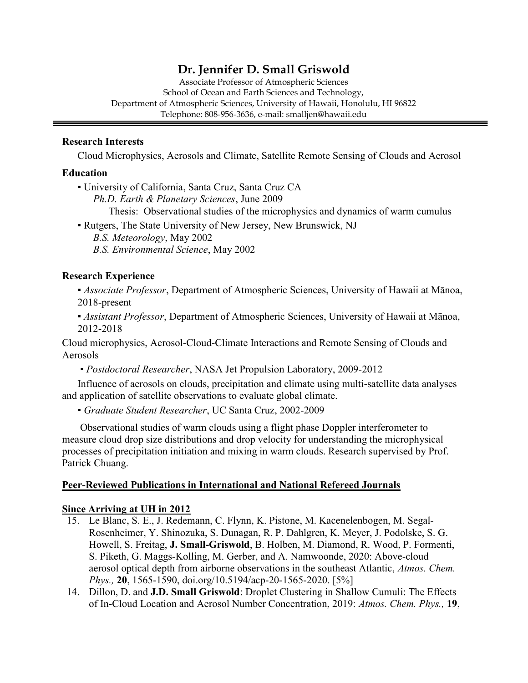## Dr. Jennifer D. Small Griswold

Associate Professor of Atmospheric Sciences School of Ocean and Earth Sciences and Technology, Department of Atmospheric Sciences, University of Hawaii, Honolulu, HI 96822 Telephone: 808-956-3636, e-mail: smalljen@hawaii.edu

#### Research Interests

Cloud Microphysics, Aerosols and Climate, Satellite Remote Sensing of Clouds and Aerosol

#### Education

ī

▪ University of California, Santa Cruz, Santa Cruz CA Ph.D. Earth & Planetary Sciences, June 2009 Thesis: Observational studies of the microphysics and dynamics of warm cumulus

▪ Rutgers, The State University of New Jersey, New Brunswick, NJ B.S. Meteorology, May 2002 B.S. Environmental Science, May 2002

#### Research Experience

**Associate Professor, Department of Atmospheric Sciences, University of Hawaii at Mānoa,** 2018-present

**Assistant Professor, Department of Atmospheric Sciences, University of Hawaii at Mānoa,** 2012-2018

Cloud microphysics, Aerosol-Cloud-Climate Interactions and Remote Sensing of Clouds and Aerosols

▪ Postdoctoral Researcher, NASA Jet Propulsion Laboratory, 2009-2012

Influence of aerosols on clouds, precipitation and climate using multi-satellite data analyses and application of satellite observations to evaluate global climate.

▪ Graduate Student Researcher, UC Santa Cruz, 2002-2009

 Observational studies of warm clouds using a flight phase Doppler interferometer to measure cloud drop size distributions and drop velocity for understanding the microphysical processes of precipitation initiation and mixing in warm clouds. Research supervised by Prof. Patrick Chuang.

#### Peer-Reviewed Publications in International and National Refereed Journals

#### Since Arriving at UH in 2012

- 15. Le Blanc, S. E., J. Redemann, C. Flynn, K. Pistone, M. Kacenelenbogen, M. Segal-Rosenheimer, Y. Shinozuka, S. Dunagan, R. P. Dahlgren, K. Meyer, J. Podolske, S. G. Howell, S. Freitag, J. Small-Griswold, B. Holben, M. Diamond, R. Wood, P. Formenti, S. Piketh, G. Maggs-Kolling, M. Gerber, and A. Namwoonde, 2020: Above-cloud aerosol optical depth from airborne observations in the southeast Atlantic, Atmos. Chem. Phys., 20, 1565-1590, doi.org/10.5194/acp-20-1565-2020. [5%]
- 14. Dillon, D. and J.D. Small Griswold: Droplet Clustering in Shallow Cumuli: The Effects of In-Cloud Location and Aerosol Number Concentration, 2019: Atmos. Chem. Phys., 19,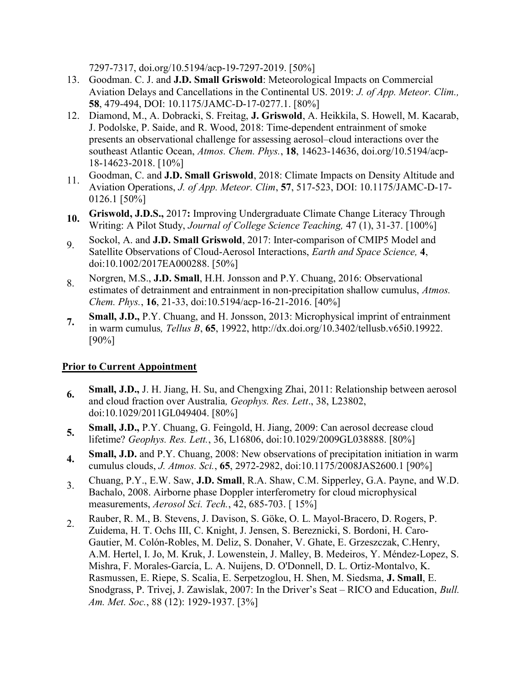7297-7317, doi.org/10.5194/acp-19-7297-2019. [50%]

- 13. Goodman. C. J. and J.D. Small Griswold: Meteorological Impacts on Commercial Aviation Delays and Cancellations in the Continental US. 2019: J. of App. Meteor. Clim., 58, 479-494, DOI: 10.1175/JAMC-D-17-0277.1. [80%]
- 12. Diamond, M., A. Dobracki, S. Freitag, J. Griswold, A. Heikkila, S. Howell, M. Kacarab, J. Podolske, P. Saide, and R. Wood, 2018: Time-dependent entrainment of smoke presents an observational challenge for assessing aerosol–cloud interactions over the southeast Atlantic Ocean, Atmos. Chem. Phys., 18, 14623-14636, doi.org/10.5194/acp-18-14623-2018. [10%]
- 11. Goodman, C. and J.D. Small Griswold, 2018: Climate Impacts on Density Altitude and Aviation Operations, J. of App. Meteor. Clim, 57, 517-523, DOI: 10.1175/JAMC-D-17- 0126.1 [50%]
- 10. Griswold, J.D.S., 2017: Improving Undergraduate Climate Change Literacy Through Writing: A Pilot Study, Journal of College Science Teaching, 47 (1), 31-37. [100%]
- 9. Sockol, A. and **J.D. Small Griswold**, 2017: Inter-comparison of CMIP5 Model and Satellite Observations of Cloud-Aerosol Interactions, Earth and Space Science, 4, doi:10.1002/2017EA000288. [50%]
- 8. Norgren, M.S., J.D. Small, H.H. Jonsson and P.Y. Chuang, 2016: Observational estimates of detrainment and entrainment in non-precipitation shallow cumulus, Atmos. Chem. Phys., 16, 21-33, doi:10.5194/acp-16-21-2016. [40%]
- 7. Small, J.D., P.Y. Chuang, and H. Jonsson, 2013: Microphysical imprint of entrainment in warm cumulus, Tellus B, 65, 19922, http://dx.doi.org/10.3402/tellusb.v65i0.19922. [90%]

## Prior to Current Appointment

- 6. Small, J.D., J. H. Jiang, H. Su, and Chengxing Zhai, 2011: Relationship between aerosol and cloud fraction over Australia, Geophys. Res. Lett., 38, L23802, doi:10.1029/2011GL049404. [80%]
- 5. Small, J.D., P.Y. Chuang, G. Feingold, H. Jiang, 2009: Can aerosol decrease cloud lifetime? Geophys. Res. Lett., 36, L16806, doi:10.1029/2009GL038888. [80%]
- 4. Small, J.D. and P.Y. Chuang, 2008: New observations of precipitation initiation in warm cumulus clouds, J. Atmos. Sci., 65, 2972-2982, doi:10.1175/2008JAS2600.1 [90%]
- 3. Chuang, P.Y., E.W. Saw, J.D. Small, R.A. Shaw, C.M. Sipperley, G.A. Payne, and W.D. Bachalo, 2008. Airborne phase Doppler interferometry for cloud microphysical measurements, Aerosol Sci. Tech., 42, 685-703. [ 15%]
- 2. Rauber, R. M., B. Stevens, J. Davison, S. Göke, O. L. Mayol-Bracero, D. Rogers, P. Zuidema, H. T. Ochs III, C. Knight, J. Jensen, S. Bereznicki, S. Bordoni, H. Caro-Gautier, M. Colón-Robles, M. Deliz, S. Donaher, V. Ghate, E. Grzeszczak, C.Henry, A.M. Hertel, I. Jo, M. Kruk, J. Lowenstein, J. Malley, B. Medeiros, Y. Méndez-Lopez, S. Mishra, F. Morales-García, L. A. Nuijens, D. O'Donnell, D. L. Ortiz-Montalvo, K. Rasmussen, E. Riepe, S. Scalia, E. Serpetzoglou, H. Shen, M. Siedsma, J. Small, E. Snodgrass, P. Trivej, J. Zawislak, 2007: In the Driver's Seat – RICO and Education, Bull. Am. Met. Soc., 88 (12): 1929-1937. [3%]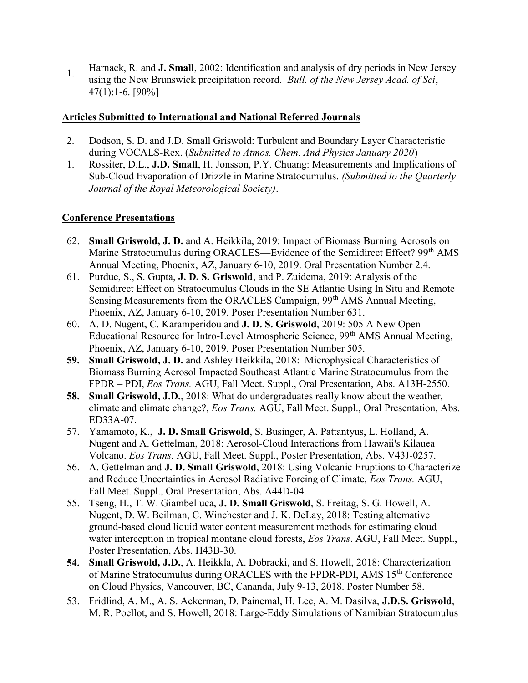1. Harnack, R. and J. Small, 2002: Identification and analysis of dry periods in New Jersey using the New Brunswick precipitation record. Bull. of the New Jersey Acad. of Sci, 47(1):1-6. [90%]

## Articles Submitted to International and National Referred Journals

- 2. Dodson, S. D. and J.D. Small Griswold: Turbulent and Boundary Layer Characteristic during VOCALS-Rex. (Submitted to Atmos. Chem. And Physics January 2020)
- 1. Rossiter, D.L., J.D. Small, H. Jonsson, P.Y. Chuang: Measurements and Implications of Sub-Cloud Evaporation of Drizzle in Marine Stratocumulus. (Submitted to the Quarterly Journal of the Royal Meteorological Society).

## Conference Presentations

- 62. Small Griswold, J. D. and A. Heikkila, 2019: Impact of Biomass Burning Aerosols on Marine Stratocumulus during ORACLES—Evidence of the Semidirect Effect? 99<sup>th</sup> AMS Annual Meeting, Phoenix, AZ, January 6-10, 2019. Oral Presentation Number 2.4.
- 61. Purdue, S., S. Gupta, J. D. S. Griswold, and P. Zuidema, 2019: Analysis of the Semidirect Effect on Stratocumulus Clouds in the SE Atlantic Using In Situ and Remote Sensing Measurements from the ORACLES Campaign, 99<sup>th</sup> AMS Annual Meeting, Phoenix, AZ, January 6-10, 2019. Poser Presentation Number 631.
- 60. A. D. Nugent, C. Karamperidou and J. D. S. Griswold, 2019: 505 A New Open Educational Resource for Intro-Level Atmospheric Science, 99<sup>th</sup> AMS Annual Meeting, Phoenix, AZ, January 6-10, 2019. Poser Presentation Number 505.
- 59. Small Griswold, J. D. and Ashley Heikkila, 2018: Microphysical Characteristics of Biomass Burning Aerosol Impacted Southeast Atlantic Marine Stratocumulus from the FPDR – PDI, Eos Trans. AGU, Fall Meet. Suppl., Oral Presentation, Abs. A13H-2550.
- 58. Small Griswold, J.D., 2018: What do undergraduates really know about the weather, climate and climate change?, Eos Trans. AGU, Fall Meet. Suppl., Oral Presentation, Abs. ED33A-07.
- 57. Yamamoto, K., J. D. Small Griswold, S. Businger, A. Pattantyus, L. Holland, A. Nugent and A. Gettelman, 2018: Aerosol-Cloud Interactions from Hawaii's Kilauea Volcano. Eos Trans. AGU, Fall Meet. Suppl., Poster Presentation, Abs. V43J-0257.
- 56. A. Gettelman and J. D. Small Griswold, 2018: Using Volcanic Eruptions to Characterize and Reduce Uncertainties in Aerosol Radiative Forcing of Climate, Eos Trans. AGU, Fall Meet. Suppl., Oral Presentation, Abs. A44D-04.
- 55. Tseng, H., T. W. Giambelluca, J. D. Small Griswold, S. Freitag, S. G. Howell, A. Nugent, D. W. Beilman, C. Winchester and J. K. DeLay, 2018: Testing alternative ground-based cloud liquid water content measurement methods for estimating cloud water interception in tropical montane cloud forests, *Eos Trans.* AGU, Fall Meet. Suppl., Poster Presentation, Abs. H43B-30.
- 54. Small Griswold, J.D., A. Heikkla, A. Dobracki, and S. Howell, 2018: Characterization of Marine Stratocumulus during ORACLES with the FPDR-PDI, AMS 15<sup>th</sup> Conference on Cloud Physics, Vancouver, BC, Cananda, July 9-13, 2018. Poster Number 58.
- 53. Fridlind, A. M., A. S. Ackerman, D. Painemal, H. Lee, A. M. Dasilva, J.D.S. Griswold, M. R. Poellot, and S. Howell, 2018: Large-Eddy Simulations of Namibian Stratocumulus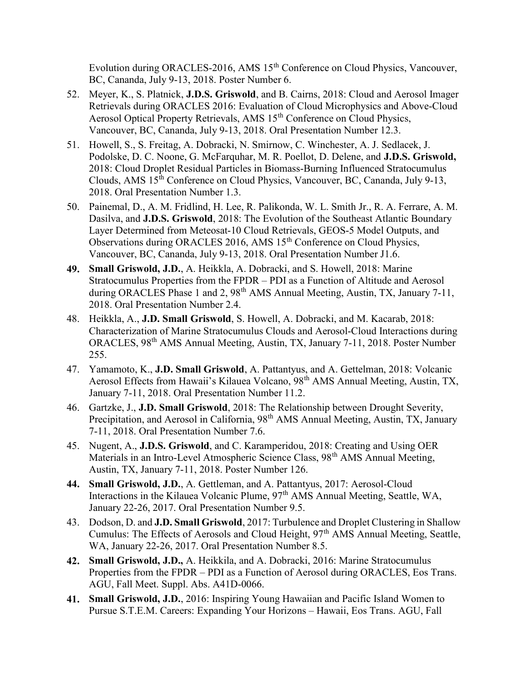Evolution during ORACLES-2016, AMS 15<sup>th</sup> Conference on Cloud Physics, Vancouver, BC, Cananda, July 9-13, 2018. Poster Number 6.

- 52. Meyer, K., S. Platnick, J.D.S. Griswold, and B. Cairns, 2018: Cloud and Aerosol Imager Retrievals during ORACLES 2016: Evaluation of Cloud Microphysics and Above-Cloud Aerosol Optical Property Retrievals, AMS 15<sup>th</sup> Conference on Cloud Physics, Vancouver, BC, Cananda, July 9-13, 2018. Oral Presentation Number 12.3.
- 51. Howell, S., S. Freitag, A. Dobracki, N. Smirnow, C. Winchester, A. J. Sedlacek, J. Podolske, D. C. Noone, G. McFarquhar, M. R. Poellot, D. Delene, and J.D.S. Griswold, 2018: Cloud Droplet Residual Particles in Biomass-Burning Influenced Stratocumulus Clouds, AMS 15<sup>th</sup> Conference on Cloud Physics, Vancouver, BC, Cananda, July 9-13, 2018. Oral Presentation Number 1.3.
- 50. Painemal, D., A. M. Fridlind, H. Lee, R. Palikonda, W. L. Smith Jr., R. A. Ferrare, A. M. Dasilva, and J.D.S. Griswold, 2018: The Evolution of the Southeast Atlantic Boundary Layer Determined from Meteosat-10 Cloud Retrievals, GEOS-5 Model Outputs, and Observations during ORACLES 2016, AMS 15<sup>th</sup> Conference on Cloud Physics, Vancouver, BC, Cananda, July 9-13, 2018. Oral Presentation Number J1.6.
- 49. Small Griswold, J.D., A. Heikkla, A. Dobracki, and S. Howell, 2018: Marine Stratocumulus Properties from the FPDR – PDI as a Function of Altitude and Aerosol during ORACLES Phase 1 and 2, 98<sup>th</sup> AMS Annual Meeting, Austin, TX, January 7-11, 2018. Oral Presentation Number 2.4.
- 48. Heikkla, A., J.D. Small Griswold, S. Howell, A. Dobracki, and M. Kacarab, 2018: Characterization of Marine Stratocumulus Clouds and Aerosol-Cloud Interactions during ORACLES, 98th AMS Annual Meeting, Austin, TX, January 7-11, 2018. Poster Number 255.
- 47. Yamamoto, K., J.D. Small Griswold, A. Pattantyus, and A. Gettelman, 2018: Volcanic Aerosol Effects from Hawaii's Kilauea Volcano, 98th AMS Annual Meeting, Austin, TX, January 7-11, 2018. Oral Presentation Number 11.2.
- 46. Gartzke, J., J.D. Small Griswold, 2018: The Relationship between Drought Severity, Precipitation, and Aerosol in California, 98<sup>th</sup> AMS Annual Meeting, Austin, TX, January 7-11, 2018. Oral Presentation Number 7.6.
- 45. Nugent, A., J.D.S. Griswold, and C. Karamperidou, 2018: Creating and Using OER Materials in an Intro-Level Atmospheric Science Class, 98<sup>th</sup> AMS Annual Meeting, Austin, TX, January 7-11, 2018. Poster Number 126.
- 44. Small Griswold, J.D., A. Gettleman, and A. Pattantyus, 2017: Aerosol-Cloud Interactions in the Kilauea Volcanic Plume, 97<sup>th</sup> AMS Annual Meeting, Seattle, WA, January 22-26, 2017. Oral Presentation Number 9.5.
- 43. Dodson, D. and J.D. Small Griswold, 2017: Turbulence and Droplet Clustering in Shallow Cumulus: The Effects of Aerosols and Cloud Height, 97<sup>th</sup> AMS Annual Meeting, Seattle, WA, January 22-26, 2017. Oral Presentation Number 8.5.
- 42. Small Griswold, J.D., A. Heikkila, and A. Dobracki, 2016: Marine Stratocumulus Properties from the FPDR – PDI as a Function of Aerosol during ORACLES, Eos Trans. AGU, Fall Meet. Suppl. Abs. A41D-0066.
- 41. Small Griswold, J.D., 2016: Inspiring Young Hawaiian and Pacific Island Women to Pursue S.T.E.M. Careers: Expanding Your Horizons – Hawaii, Eos Trans. AGU, Fall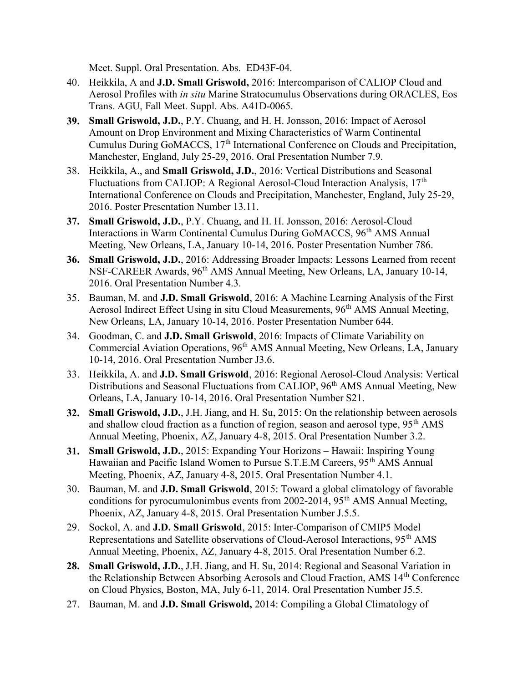Meet. Suppl. Oral Presentation. Abs. ED43F-04.

- 40. Heikkila, A and J.D. Small Griswold, 2016: Intercomparison of CALIOP Cloud and Aerosol Profiles with in situ Marine Stratocumulus Observations during ORACLES, Eos Trans. AGU, Fall Meet. Suppl. Abs. A41D-0065.
- 39. Small Griswold, J.D., P.Y. Chuang, and H. H. Jonsson, 2016: Impact of Aerosol Amount on Drop Environment and Mixing Characteristics of Warm Continental Cumulus During GoMACCS, 17<sup>th</sup> International Conference on Clouds and Precipitation, Manchester, England, July 25-29, 2016. Oral Presentation Number 7.9.
- 38. Heikkila, A., and Small Griswold, J.D., 2016: Vertical Distributions and Seasonal Fluctuations from CALIOP: A Regional Aerosol-Cloud Interaction Analysis, 17<sup>th</sup> International Conference on Clouds and Precipitation, Manchester, England, July 25-29, 2016. Poster Presentation Number 13.11.
- 37. Small Griswold, J.D., P.Y. Chuang, and H. H. Jonsson, 2016: Aerosol-Cloud Interactions in Warm Continental Cumulus During GoMACCS, 96<sup>th</sup> AMS Annual Meeting, New Orleans, LA, January 10-14, 2016. Poster Presentation Number 786.
- 36. Small Griswold, J.D., 2016: Addressing Broader Impacts: Lessons Learned from recent NSF-CAREER Awards, 96<sup>th</sup> AMS Annual Meeting, New Orleans, LA, January 10-14, 2016. Oral Presentation Number 4.3.
- 35. Bauman, M. and J.D. Small Griswold, 2016: A Machine Learning Analysis of the First Aerosol Indirect Effect Using in situ Cloud Measurements, 96<sup>th</sup> AMS Annual Meeting, New Orleans, LA, January 10-14, 2016. Poster Presentation Number 644.
- 34. Goodman, C. and J.D. Small Griswold, 2016: Impacts of Climate Variability on Commercial Aviation Operations, 96th AMS Annual Meeting, New Orleans, LA, January 10-14, 2016. Oral Presentation Number J3.6.
- 33. Heikkila, A. and J.D. Small Griswold, 2016: Regional Aerosol-Cloud Analysis: Vertical Distributions and Seasonal Fluctuations from CALIOP, 96<sup>th</sup> AMS Annual Meeting, New Orleans, LA, January 10-14, 2016. Oral Presentation Number S21.
- 32. Small Griswold, J.D., J.H. Jiang, and H. Su, 2015: On the relationship between aerosols and shallow cloud fraction as a function of region, season and aerosol type, 95<sup>th</sup> AMS Annual Meeting, Phoenix, AZ, January 4-8, 2015. Oral Presentation Number 3.2.
- 31. Small Griswold, J.D., 2015: Expanding Your Horizons Hawaii: Inspiring Young Hawaiian and Pacific Island Women to Pursue S.T.E.M Careers, 95<sup>th</sup> AMS Annual Meeting, Phoenix, AZ, January 4-8, 2015. Oral Presentation Number 4.1.
- 30. Bauman, M. and J.D. Small Griswold, 2015: Toward a global climatology of favorable conditions for pyrocumulonimbus events from  $2002-2014$ ,  $95<sup>th</sup>$  AMS Annual Meeting, Phoenix, AZ, January 4-8, 2015. Oral Presentation Number J.5.5.
- 29. Sockol, A. and J.D. Small Griswold, 2015: Inter-Comparison of CMIP5 Model Representations and Satellite observations of Cloud-Aerosol Interactions, 95<sup>th</sup> AMS Annual Meeting, Phoenix, AZ, January 4-8, 2015. Oral Presentation Number 6.2.
- 28. Small Griswold, J.D., J.H. Jiang, and H. Su, 2014: Regional and Seasonal Variation in the Relationship Between Absorbing Aerosols and Cloud Fraction, AMS 14th Conference on Cloud Physics, Boston, MA, July 6-11, 2014. Oral Presentation Number J5.5.
- 27. Bauman, M. and **J.D. Small Griswold**, 2014: Compiling a Global Climatology of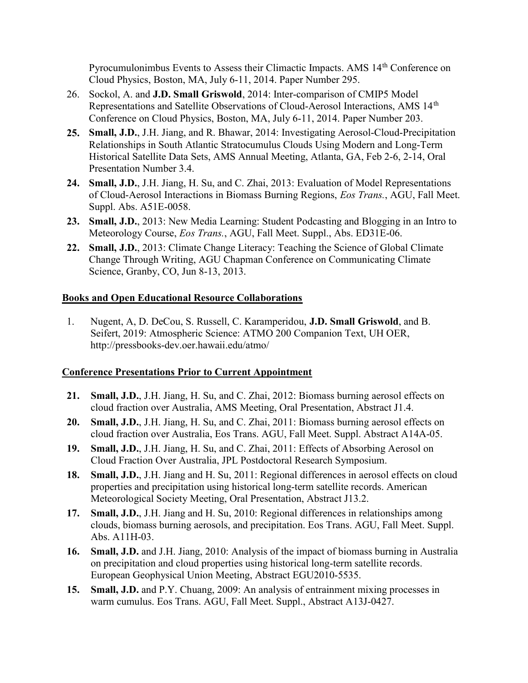Pyrocumulonimbus Events to Assess their Climactic Impacts. AMS 14<sup>th</sup> Conference on Cloud Physics, Boston, MA, July 6-11, 2014. Paper Number 295.

- 26. Sockol, A. and J.D. Small Griswold, 2014: Inter-comparison of CMIP5 Model Representations and Satellite Observations of Cloud-Aerosol Interactions, AMS 14<sup>th</sup> Conference on Cloud Physics, Boston, MA, July 6-11, 2014. Paper Number 203.
- 25. Small, J.D., J.H. Jiang, and R. Bhawar, 2014: Investigating Aerosol-Cloud-Precipitation Relationships in South Atlantic Stratocumulus Clouds Using Modern and Long-Term Historical Satellite Data Sets, AMS Annual Meeting, Atlanta, GA, Feb 2-6, 2-14, Oral Presentation Number 3.4.
- 24. Small, J.D., J.H. Jiang, H. Su, and C. Zhai, 2013: Evaluation of Model Representations of Cloud-Aerosol Interactions in Biomass Burning Regions, Eos Trans., AGU, Fall Meet. Suppl. Abs. A51E-0058.
- 23. Small, J.D., 2013: New Media Learning: Student Podcasting and Blogging in an Intro to Meteorology Course, Eos Trans., AGU, Fall Meet. Suppl., Abs. ED31E-06.
- 22. Small, J.D., 2013: Climate Change Literacy: Teaching the Science of Global Climate Change Through Writing, AGU Chapman Conference on Communicating Climate Science, Granby, CO, Jun 8-13, 2013.

## Books and Open Educational Resource Collaborations

1. Nugent, A, D. DeCou, S. Russell, C. Karamperidou, J.D. Small Griswold, and B. Seifert, 2019: Atmospheric Science: ATMO 200 Companion Text, UH OER, http://pressbooks-dev.oer.hawaii.edu/atmo/

## Conference Presentations Prior to Current Appointment

- 21. Small, J.D., J.H. Jiang, H. Su, and C. Zhai, 2012: Biomass burning aerosol effects on cloud fraction over Australia, AMS Meeting, Oral Presentation, Abstract J1.4.
- 20. Small, J.D., J.H. Jiang, H. Su, and C. Zhai, 2011: Biomass burning aerosol effects on cloud fraction over Australia, Eos Trans. AGU, Fall Meet. Suppl. Abstract A14A-05.
- 19. Small, J.D., J.H. Jiang, H. Su, and C. Zhai, 2011: Effects of Absorbing Aerosol on Cloud Fraction Over Australia, JPL Postdoctoral Research Symposium.
- 18. Small, J.D., J.H. Jiang and H. Su, 2011: Regional differences in aerosol effects on cloud properties and precipitation using historical long-term satellite records. American Meteorological Society Meeting, Oral Presentation, Abstract J13.2.
- 17. Small, J.D., J.H. Jiang and H. Su, 2010: Regional differences in relationships among clouds, biomass burning aerosols, and precipitation. Eos Trans. AGU, Fall Meet. Suppl. Abs. A11H-03.
- 16. Small, J.D. and J.H. Jiang, 2010: Analysis of the impact of biomass burning in Australia on precipitation and cloud properties using historical long-term satellite records. European Geophysical Union Meeting, Abstract EGU2010-5535.
- 15. Small, J.D. and P.Y. Chuang, 2009: An analysis of entrainment mixing processes in warm cumulus. Eos Trans. AGU, Fall Meet. Suppl., Abstract A13J-0427.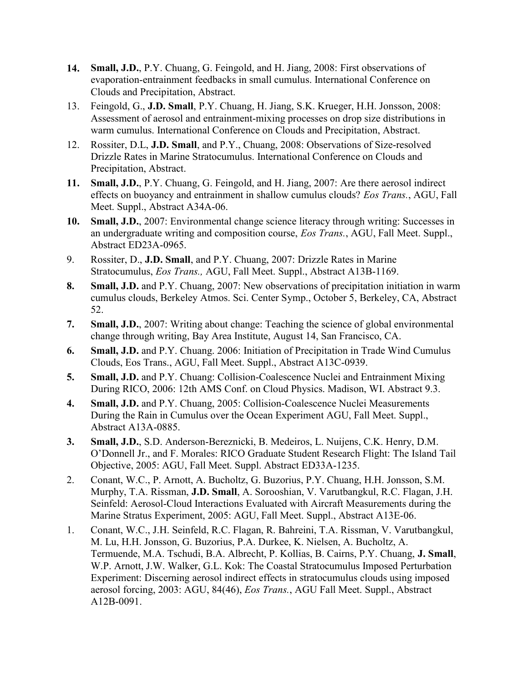- 14. Small, J.D., P.Y. Chuang, G. Feingold, and H. Jiang, 2008: First observations of evaporation-entrainment feedbacks in small cumulus. International Conference on Clouds and Precipitation, Abstract.
- 13. Feingold, G., J.D. Small, P.Y. Chuang, H. Jiang, S.K. Krueger, H.H. Jonsson, 2008: Assessment of aerosol and entrainment-mixing processes on drop size distributions in warm cumulus. International Conference on Clouds and Precipitation, Abstract.
- 12. Rossiter, D.L, J.D. Small, and P.Y., Chuang, 2008: Observations of Size-resolved Drizzle Rates in Marine Stratocumulus. International Conference on Clouds and Precipitation, Abstract.
- 11. Small, J.D., P.Y. Chuang, G. Feingold, and H. Jiang, 2007: Are there aerosol indirect effects on buoyancy and entrainment in shallow cumulus clouds? Eos Trans., AGU, Fall Meet. Suppl., Abstract A34A-06.
- 10. Small, J.D., 2007: Environmental change science literacy through writing: Successes in an undergraduate writing and composition course, Eos Trans., AGU, Fall Meet. Suppl., Abstract ED23A-0965.
- 9. Rossiter, D., J.D. Small, and P.Y. Chuang, 2007: Drizzle Rates in Marine Stratocumulus, Eos Trans., AGU, Fall Meet. Suppl., Abstract A13B-1169.
- 8. Small, J.D. and P.Y. Chuang, 2007: New observations of precipitation initiation in warm cumulus clouds, Berkeley Atmos. Sci. Center Symp., October 5, Berkeley, CA, Abstract 52.
- 7. Small, J.D., 2007: Writing about change: Teaching the science of global environmental change through writing, Bay Area Institute, August 14, San Francisco, CA.
- 6. Small, J.D. and P.Y. Chuang. 2006: Initiation of Precipitation in Trade Wind Cumulus Clouds, Eos Trans., AGU, Fall Meet. Suppl., Abstract A13C-0939.
- 5. Small, J.D. and P.Y. Chuang: Collision-Coalescence Nuclei and Entrainment Mixing During RICO, 2006: 12th AMS Conf. on Cloud Physics. Madison, WI. Abstract 9.3.
- 4. Small, J.D. and P.Y. Chuang, 2005: Collision-Coalescence Nuclei Measurements During the Rain in Cumulus over the Ocean Experiment AGU, Fall Meet. Suppl., Abstract A13A-0885.
- 3. Small, J.D., S.D. Anderson-Bereznicki, B. Medeiros, L. Nuijens, C.K. Henry, D.M. O'Donnell Jr., and F. Morales: RICO Graduate Student Research Flight: The Island Tail Objective, 2005: AGU, Fall Meet. Suppl. Abstract ED33A-1235.
- 2. Conant, W.C., P. Arnott, A. Bucholtz, G. Buzorius, P.Y. Chuang, H.H. Jonsson, S.M. Murphy, T.A. Rissman, J.D. Small, A. Sorooshian, V. Varutbangkul, R.C. Flagan, J.H. Seinfeld: Aerosol-Cloud Interactions Evaluated with Aircraft Measurements during the Marine Stratus Experiment, 2005: AGU, Fall Meet. Suppl., Abstract A13E-06.
- 1. Conant, W.C., J.H. Seinfeld, R.C. Flagan, R. Bahreini, T.A. Rissman, V. Varutbangkul, M. Lu, H.H. Jonsson, G. Buzorius, P.A. Durkee, K. Nielsen, A. Bucholtz, A. Termuende, M.A. Tschudi, B.A. Albrecht, P. Kollias, B. Cairns, P.Y. Chuang, J. Small, W.P. Arnott, J.W. Walker, G.L. Kok: The Coastal Stratocumulus Imposed Perturbation Experiment: Discerning aerosol indirect effects in stratocumulus clouds using imposed aerosol forcing, 2003: AGU, 84(46), Eos Trans., AGU Fall Meet. Suppl., Abstract A12B-0091.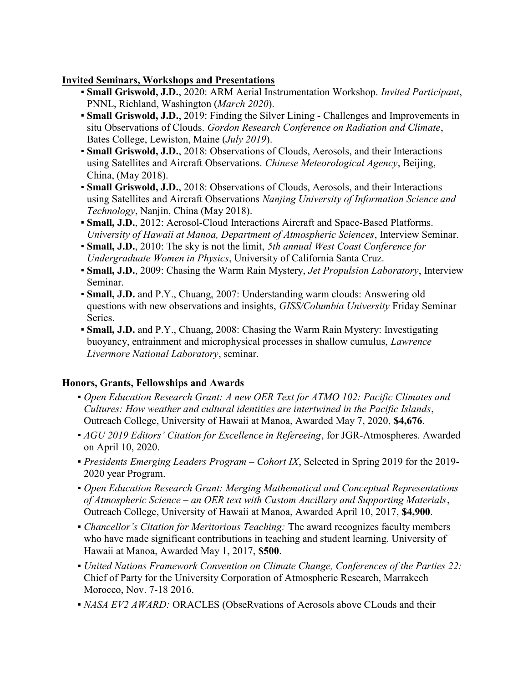## Invited Seminars, Workshops and Presentations

- Small Griswold, J.D., 2020: ARM Aerial Instrumentation Workshop. Invited Participant, PNNL, Richland, Washington (March 2020).
- **Small Griswold, J.D., 2019: Finding the Silver Lining Challenges and Improvements in** situ Observations of Clouds. Gordon Research Conference on Radiation and Climate, Bates College, Lewiston, Maine (July 2019).
- **Small Griswold, J.D.**, 2018: Observations of Clouds, Aerosols, and their Interactions using Satellites and Aircraft Observations. Chinese Meteorological Agency, Beijing, China, (May 2018).
- **Small Griswold, J.D.**, 2018: Observations of Clouds, Aerosols, and their Interactions using Satellites and Aircraft Observations Nanjing University of Information Science and Technology, Nanjin, China (May 2018).
- Small, J.D., 2012: Aerosol-Cloud Interactions Aircraft and Space-Based Platforms. University of Hawaii at Manoa, Department of Atmospheric Sciences, Interview Seminar.
- Small, J.D., 2010: The sky is not the limit, 5th annual West Coast Conference for Undergraduate Women in Physics, University of California Santa Cruz.
- Small, J.D., 2009: Chasing the Warm Rain Mystery, Jet Propulsion Laboratory, Interview Seminar.
- Small, J.D. and P.Y., Chuang, 2007: Understanding warm clouds: Answering old questions with new observations and insights, GISS/Columbia University Friday Seminar Series.
- Small, J.D. and P.Y., Chuang, 2008: Chasing the Warm Rain Mystery: Investigating buoyancy, entrainment and microphysical processes in shallow cumulus, Lawrence Livermore National Laboratory, seminar.

## Honors, Grants, Fellowships and Awards

- Open Education Research Grant: A new OER Text for ATMO 102: Pacific Climates and Cultures: How weather and cultural identities are intertwined in the Pacific Islands, Outreach College, University of Hawaii at Manoa, Awarded May 7, 2020, \$4,676.
- AGU 2019 Editors' Citation for Excellence in Refereeing, for JGR-Atmospheres. Awarded on April 10, 2020.
- $\blacksquare$  Presidents Emerging Leaders Program Cohort IX, Selected in Spring 2019 for the 2019-2020 year Program.
- Open Education Research Grant: Merging Mathematical and Conceptual Representations of Atmospheric Science – an OER text with Custom Ancillary and Supporting Materials, Outreach College, University of Hawaii at Manoa, Awarded April 10, 2017, \$4,900.
- Chancellor's Citation for Meritorious Teaching: The award recognizes faculty members who have made significant contributions in teaching and student learning. University of Hawaii at Manoa, Awarded May 1, 2017, \$500.
- United Nations Framework Convention on Climate Change, Conferences of the Parties 22: Chief of Party for the University Corporation of Atmospheric Research, Marrakech Morocco, Nov. 7-18 2016.
- NASA EV2 AWARD: ORACLES (ObseRvations of Aerosols above CLouds and their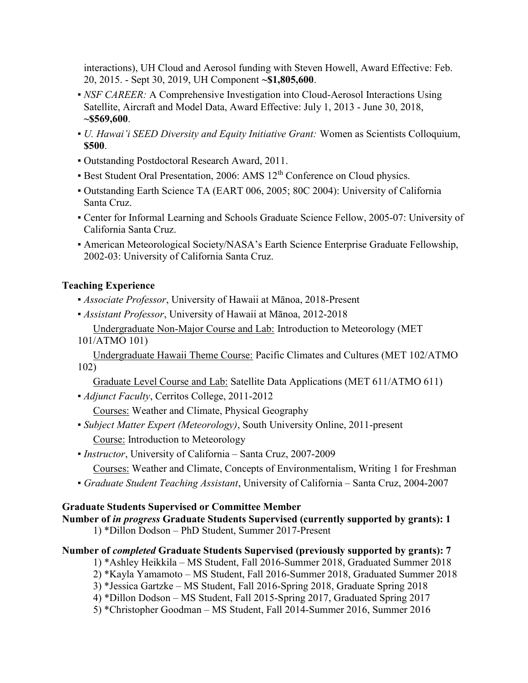interactions), UH Cloud and Aerosol funding with Steven Howell, Award Effective: Feb. 20, 2015. - Sept 30, 2019, UH Component ~\$1,805,600.

- NSF CAREER: A Comprehensive Investigation into Cloud-Aerosol Interactions Using Satellite, Aircraft and Model Data, Award Effective: July 1, 2013 - June 30, 2018, ~\$569,600.
- U. Hawai'i SEED Diversity and Equity Initiative Grant: Women as Scientists Colloquium, \$500.
- Outstanding Postdoctoral Research Award, 2011.
- **Best Student Oral Presentation, 2006: AMS 12<sup>th</sup> Conference on Cloud physics.**
- Outstanding Earth Science TA (EART 006, 2005; 80C 2004): University of California Santa Cruz.
- Center for Informal Learning and Schools Graduate Science Fellow, 2005-07: University of California Santa Cruz.
- **American Meteorological Society/NASA's Earth Science Enterprise Graduate Fellowship,** 2002-03: University of California Santa Cruz.

## Teaching Experience

- Associate Professor, University of Hawaii at Mānoa, 2018-Present
- Assistant Professor, University of Hawaii at Mānoa, 2012-2018
- Undergraduate Non-Major Course and Lab: Introduction to Meteorology (MET 101/ATMO 101)

 Undergraduate Hawaii Theme Course: Pacific Climates and Cultures (MET 102/ATMO 102)

Graduate Level Course and Lab: Satellite Data Applications (MET 611/ATMO 611)

- Adjunct Faculty, Cerritos College, 2011-2012 Courses: Weather and Climate, Physical Geography
- Subject Matter Expert (Meteorology), South University Online, 2011-present Course: Introduction to Meteorology
- Instructor, University of California Santa Cruz, 2007-2009

Courses: Weather and Climate, Concepts of Environmentalism, Writing 1 for Freshman

▪ Graduate Student Teaching Assistant, University of California – Santa Cruz, 2004-2007

## Graduate Students Supervised or Committee Member

# Number of in progress Graduate Students Supervised (currently supported by grants): 1

1) \*Dillon Dodson – PhD Student, Summer 2017-Present

## Number of completed Graduate Students Supervised (previously supported by grants): 7

1) \*Ashley Heikkila – MS Student, Fall 2016-Summer 2018, Graduated Summer 2018

- 2) \*Kayla Yamamoto MS Student, Fall 2016-Summer 2018, Graduated Summer 2018
- 3) \*Jessica Gartzke MS Student, Fall 2016-Spring 2018, Graduate Spring 2018
- 4) \*Dillon Dodson MS Student, Fall 2015-Spring 2017, Graduated Spring 2017
- 5) \*Christopher Goodman MS Student, Fall 2014-Summer 2016, Summer 2016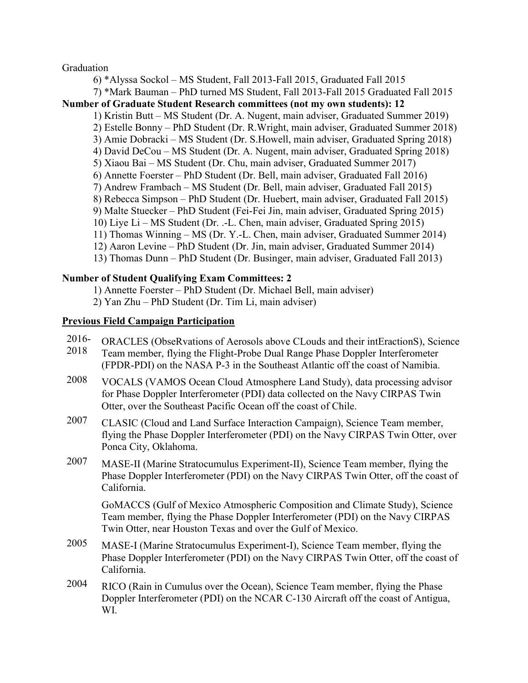#### Graduation

 6) \*Alyssa Sockol – MS Student, Fall 2013-Fall 2015, Graduated Fall 2015 7) \*Mark Bauman – PhD turned MS Student, Fall 2013-Fall 2015 Graduated Fall 2015 Number of Graduate Student Research committees (not my own students): 12 1) Kristin Butt – MS Student (Dr. A. Nugent, main adviser, Graduated Summer 2019) 2) Estelle Bonny – PhD Student (Dr. R.Wright, main adviser, Graduated Summer 2018) 3) Amie Dobracki – MS Student (Dr. S.Howell, main adviser, Graduated Spring 2018) 4) David DeCou – MS Student (Dr. A. Nugent, main adviser, Graduated Spring 2018) 5) Xiaou Bai – MS Student (Dr. Chu, main adviser, Graduated Summer 2017) 6) Annette Foerster – PhD Student (Dr. Bell, main adviser, Graduated Fall 2016) 7) Andrew Frambach – MS Student (Dr. Bell, main adviser, Graduated Fall 2015) 8) Rebecca Simpson – PhD Student (Dr. Huebert, main adviser, Graduated Fall 2015) 9) Malte Stuecker – PhD Student (Fei-Fei Jin, main adviser, Graduated Spring 2015) 10) Liye Li – MS Student (Dr. .-L. Chen, main adviser, Graduated Spring 2015) 11) Thomas Winning – MS (Dr. Y.-L. Chen, main adviser, Graduated Summer 2014) 12) Aaron Levine – PhD Student (Dr. Jin, main adviser, Graduated Summer 2014) 13) Thomas Dunn – PhD Student (Dr. Businger, main adviser, Graduated Fall 2013)

#### Number of Student Qualifying Exam Committees: 2

1) Annette Foerster – PhD Student (Dr. Michael Bell, main adviser)

2) Yan Zhu – PhD Student (Dr. Tim Li, main adviser)

#### Previous Field Campaign Participation

- 2016- ORACLES (ObseRvations of Aerosols above CLouds and their intEractionS), Science
- 2018 Team member, flying the Flight-Probe Dual Range Phase Doppler Interferometer (FPDR-PDI) on the NASA P-3 in the Southeast Atlantic off the coast of Namibia.
- 2008 VOCALS (VAMOS Ocean Cloud Atmosphere Land Study), data processing advisor for Phase Doppler Interferometer (PDI) data collected on the Navy CIRPAS Twin Otter, over the Southeast Pacific Ocean off the coast of Chile.
- 2007 CLASIC (Cloud and Land Surface Interaction Campaign), Science Team member, flying the Phase Doppler Interferometer (PDI) on the Navy CIRPAS Twin Otter, over Ponca City, Oklahoma.
- 2007 MASE-II (Marine Stratocumulus Experiment-II), Science Team member, flying the Phase Doppler Interferometer (PDI) on the Navy CIRPAS Twin Otter, off the coast of California.

GoMACCS (Gulf of Mexico Atmospheric Composition and Climate Study), Science Team member, flying the Phase Doppler Interferometer (PDI) on the Navy CIRPAS Twin Otter, near Houston Texas and over the Gulf of Mexico.

- 2005 MASE-I (Marine Stratocumulus Experiment-I), Science Team member, flying the Phase Doppler Interferometer (PDI) on the Navy CIRPAS Twin Otter, off the coast of California.
- 2004 RICO (Rain in Cumulus over the Ocean), Science Team member, flying the Phase Doppler Interferometer (PDI) on the NCAR C-130 Aircraft off the coast of Antigua, WI.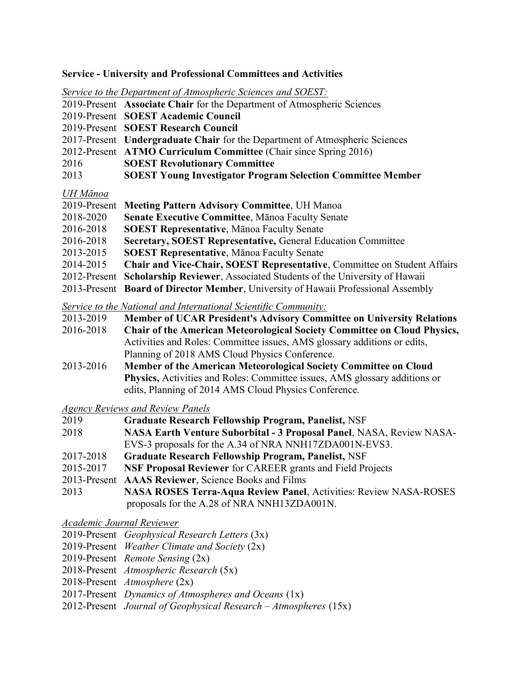#### Service - University and Professional Committees and Activities

Service to the Department of Atmospheric Sciences and SOEST: 2019-Present Associate Chair for the Department of Atmospheric Sciences 2019-Present SOEST Academic Council

- 2019-Present SOEST Research Council
- 2017-Present Undergraduate Chair for the Department of Atmospheric Sciences
- 2012-Present ATMO Curriculum Committee (Chair since Spring 2016)
- 2016 SOEST Revolutionary Committee
- 2013 SOEST Young Investigator Program Selection Committee Member

#### UH Mānoa

|           | 2019-Present Meeting Pattern Advisory Committee, UH Manoa                          |
|-----------|------------------------------------------------------------------------------------|
| 2018-2020 | Senate Executive Committee, Mānoa Faculty Senate                                   |
| 2016-2018 | <b>SOEST Representative, Manoa Faculty Senate</b>                                  |
| 2016-2018 | <b>Secretary, SOEST Representative, General Education Committee</b>                |
| 2013-2015 | <b>SOEST Representative, Manoa Faculty Senate</b>                                  |
| 2014-2015 | <b>Chair and Vice-Chair, SOEST Representative, Committee on Student Affairs</b>    |
|           | 2012-Present Scholarship Reviewer, Associated Students of the University of Hawaii |
|           | 2013-Present Board of Director Member, University of Hawaii Professional Assembly  |

Service to the National and International Scientific Community:

- 2013-2019 Member of UCAR President's Advisory Committee on University Relations
- 2016-2018 Chair of the American Meteorological Society Committee on Cloud Physics, Activities and Roles: Committee issues, AMS glossary additions or edits, Planning of 2018 AMS Cloud Physics Conference.
- 2013-2016 Member of the American Meteorological Society Committee on Cloud Physics, Activities and Roles: Committee issues, AMS glossary additions or edits, Planning of 2014 AMS Cloud Physics Conference.

Agency Reviews and Review Panels

- 2019 Graduate Research Fellowship Program, Panelist, NSF
- 2018 NASA Earth Venture Suborbital 3 Proposal Panel, NASA, Review NASA- EVS-3 proposals for the A.34 of NRA NNH17ZDA001N-EVS3.
- 2017-2018 Graduate Research Fellowship Program, Panelist, NSF
- 2015-2017 NSF Proposal Reviewer for CAREER grants and Field Projects
- 2013-Present AAAS Reviewer, Science Books and Films
- 2013 NASA ROSES Terra-Aqua Review Panel, Activities: Review NASA-ROSES proposals for the A.28 of NRA NNH13ZDA001N.

Academic Journal Reviewer

- 2019-Present Geophysical Research Letters (3x)
- 2019-Present Weather Climate and Society (2x)
- 2019-Present Remote Sensing (2x)
- 2018-Present Atmospheric Research (5x)
- 2018-Present Atmosphere (2x)
- 2017-Present Dynamics of Atmospheres and Oceans (1x)
- 2012-Present Journal of Geophysical Research Atmospheres (15x)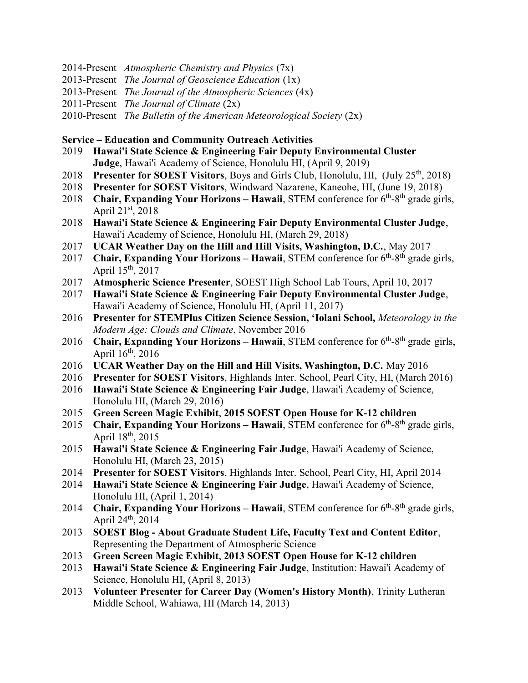- 2014-Present Atmospheric Chemistry and Physics  $(7x)$
- 2013-Present *The Journal of Geoscience Education*  $(1x)$
- 2013-Present The Journal of the Atmospheric Sciences (4x)
- 2011-Present The Journal of Climate  $(2x)$
- 2010-Present The Bulletin of the American Meteorological Society  $(2x)$

#### Service – Education and Community Outreach Activities

- 2019 Hawai'i State Science & Engineering Fair Deputy Environmental Cluster Judge, Hawai'i Academy of Science, Honolulu HI, (April 9, 2019)
- 2018 Presenter for SOEST Visitors, Boys and Girls Club, Honolulu, HI, (July  $25<sup>th</sup>$ , 2018)
- 2018 Presenter for SOEST Visitors, Windward Nazarene, Kaneohe, HI, (June 19, 2018)
- 2018 Chair, Expanding Your Horizons Hawaii, STEM conference for  $6<sup>th</sup>$ -8<sup>th</sup> grade girls, April  $21^{st}$ , 2018
- 2018 Hawai'i State Science & Engineering Fair Deputy Environmental Cluster Judge, Hawai'i Academy of Science, Honolulu HI, (March 29, 2018)
- 2017 UCAR Weather Day on the Hill and Hill Visits, Washington, D.C., May 2017
- 2017 Chair, Expanding Your Horizons Hawaii, STEM conference for  $6<sup>th</sup>-8<sup>th</sup>$  grade girls, April  $15^{th}$ , 2017
- 2017 Atmospheric Science Presenter, SOEST High School Lab Tours, April 10, 2017
- 2017 Hawai'i State Science & Engineering Fair Deputy Environmental Cluster Judge, Hawai'i Academy of Science, Honolulu HI, (April 11, 2017)
- 2016 Presenter for STEMPlus Citizen Science Session, 'Iolani School, Meteorology in the Modern Age: Clouds and Climate, November 2016
- 2016 Chair, Expanding Your Horizons Hawaii, STEM conference for  $6<sup>th</sup>-8<sup>th</sup>$  grade girls, April  $16^{th}$ , 2016
- 2016 UCAR Weather Day on the Hill and Hill Visits, Washington, D.C. May 2016
- 2016 Presenter for SOEST Visitors, Highlands Inter. School, Pearl City, HI, (March 2016)
- 2016 Hawai'i State Science & Engineering Fair Judge, Hawai'i Academy of Science, Honolulu HI, (March 29, 2016)
- 2015 Green Screen Magic Exhibit, 2015 SOEST Open House for K-12 children
- 2015 Chair, Expanding Your Horizons Hawaii, STEM conference for  $6<sup>th</sup>$ - $8<sup>th</sup>$  grade girls, April  $18^{th}$ , 2015
- 2015 Hawai'i State Science & Engineering Fair Judge, Hawai'i Academy of Science, Honolulu HI, (March 23, 2015)
- 2014 Presenter for SOEST Visitors, Highlands Inter. School, Pearl City, HI, April 2014
- 2014 Hawai'i State Science & Engineering Fair Judge, Hawai'i Academy of Science, Honolulu HI, (April 1, 2014)
- 2014 Chair, Expanding Your Horizons Hawaii, STEM conference for  $6<sup>th</sup>-8<sup>th</sup>$  grade girls, April  $24^{\text{th}}$ ,  $2014$
- 2013 SOEST Blog About Graduate Student Life, Faculty Text and Content Editor, Representing the Department of Atmospheric Science
- 2013 Green Screen Magic Exhibit, 2013 SOEST Open House for K-12 children
- 2013 Hawai'i State Science & Engineering Fair Judge, Institution: Hawai'i Academy of Science, Honolulu HI, (April 8, 2013)
- 2013 Volunteer Presenter for Career Day (Women's History Month), Trinity Lutheran Middle School, Wahiawa, HI (March 14, 2013)